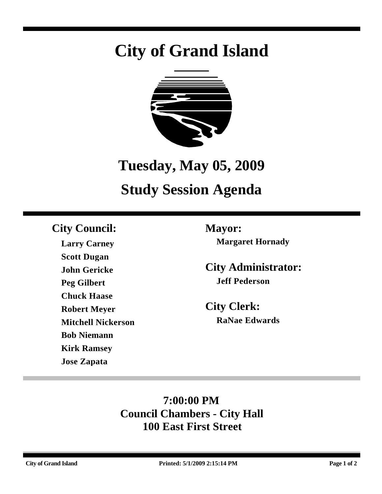# **City of Grand Island**



## **Tuesday, May 05, 2009**

## **Study Session Agenda**

### **City Council: Mayor:**

**Larry Carney Scott Dugan John Gericke Peg Gilbert Chuck Haase Robert Meyer Mitchell Nickerson Bob Niemann Kirk Ramsey Jose Zapata**

**Margaret Hornady**

**City Administrator: Jeff Pederson**

**City Clerk: RaNae Edwards**

## **7:00:00 PM Council Chambers - City Hall 100 East First Street**